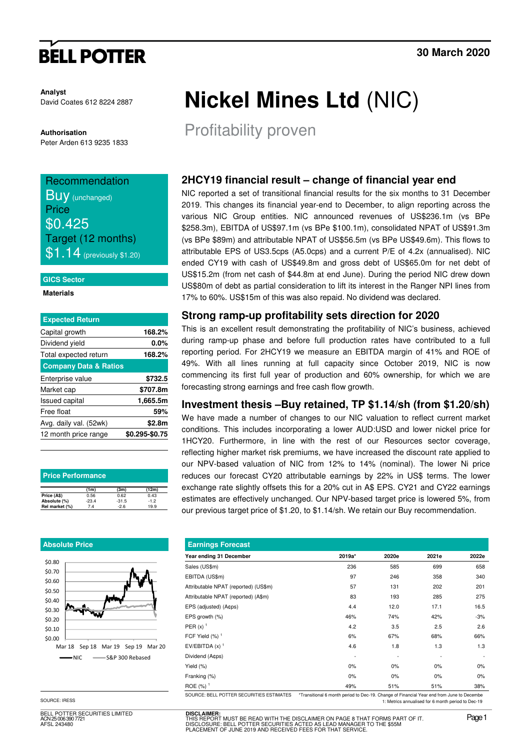# **BELL POTTER**

**Analyst** David Coates 612 8224 2887

**Authorisation**  Peter Arden 613 9235 1833

## Recommendation

**Buy** (unchanged) **Price** \$0.425 Target (12 months)  $$1.14$  (previously \$1.20)

#### **GICS Sector**

**Materials** 

| <b>Expected Return</b>           |                |
|----------------------------------|----------------|
| Capital growth                   | 168.2%         |
| Dividend yield                   | $0.0\%$        |
| Total expected return            | 168.2%         |
| <b>Company Data &amp; Ratios</b> |                |
| Enterprise value                 | \$732.5        |
| Market cap                       | \$707.8m       |
| <b>Issued capital</b>            | 1,665.5m       |
| Free float                       | 59%            |
| Avg. daily val. (52wk)           | \$2.8m         |
| 12 month price range             | \$0.295-\$0.75 |

| <b>Price Performance</b> |         |         |        |  |  |  |  |  |  |
|--------------------------|---------|---------|--------|--|--|--|--|--|--|
|                          | (1m)    | (3m)    | (12m)  |  |  |  |  |  |  |
| Price (A\$)              | 0.56    | 0.62    | 0.43   |  |  |  |  |  |  |
| Absolute (%)             | $-23.4$ | $-31.5$ | $-1.2$ |  |  |  |  |  |  |
| Rel market (%)           | 7.4     | $-2.6$  | 19.9   |  |  |  |  |  |  |

#### **Absolute Price**



SOURCE: IRESS

BELL POTTER SECURITIES LIMITED  $\frac{1}{5}$  006 390 772 AFSL 243480

# **Nickel Mines Ltd** (NIC)

Profitability proven

### **2HCY19 financial result – change of financial year end**

NIC reported a set of transitional financial results for the six months to 31 December 2019. This changes its financial year-end to December, to align reporting across the various NIC Group entities. NIC announced revenues of US\$236.1m (vs BPe \$258.3m), EBITDA of US\$97.1m (vs BPe \$100.1m), consolidated NPAT of US\$91.3m (vs BPe \$89m) and attributable NPAT of US\$56.5m (vs BPe US\$49.6m). This flows to attributable EPS of US3.5cps (A5.0cps) and a current P/E of 4.2x (annualised). NIC ended CY19 with cash of US\$49.8m and gross debt of US\$65.0m for net debt of US\$15.2m (from net cash of \$44.8m at end June). During the period NIC drew down US\$80m of debt as partial consideration to lift its interest in the Ranger NPI lines from 17% to 60%. US\$15m of this was also repaid. No dividend was declared.

#### **Strong ramp-up profitability sets direction for 2020**

This is an excellent result demonstrating the profitability of NIC's business, achieved during ramp-up phase and before full production rates have contributed to a full reporting period. For 2HCY19 we measure an EBITDA margin of 41% and ROE of 49%. With all lines running at full capacity since October 2019, NIC is now commencing its first full year of production and 60% ownership, for which we are forecasting strong earnings and free cash flow growth.

#### **Investment thesis –Buy retained, TP \$1.14/sh (from \$1.20/sh)**

We have made a number of changes to our NIC valuation to reflect current market conditions. This includes incorporating a lower AUD:USD and lower nickel price for 1HCY20. Furthermore, in line with the rest of our Resources sector coverage, reflecting higher market risk premiums, we have increased the discount rate applied to our NPV-based valuation of NIC from 12% to 14% (nominal). The lower Ni price reduces our forecast CY20 attributable earnings by 22% in US\$ terms. The lower exchange rate slightly offsets this for a 20% cut in A\$ EPS. CY21 and CY22 earnings estimates are effectively unchanged. Our NPV-based target price is lowered 5%, from our previous target price of \$1.20, to \$1.14/sh. We retain our Buy recommendation.

| <b>Earnings Forecast</b>                 |                                                                                           |       |       |       |  |  |  |  |  |  |
|------------------------------------------|-------------------------------------------------------------------------------------------|-------|-------|-------|--|--|--|--|--|--|
| Year ending 31 December                  | 2019a*                                                                                    | 2020e | 2021e | 2022e |  |  |  |  |  |  |
| Sales (US\$m)                            | 236                                                                                       | 585   | 699   | 658   |  |  |  |  |  |  |
| EBITDA (US\$m)                           | 97                                                                                        | 246   | 358   | 340   |  |  |  |  |  |  |
| Attributable NPAT (reported) (US\$m)     | 57                                                                                        | 131   | 202   | 201   |  |  |  |  |  |  |
| Attributable NPAT (reported) (A\$m)      | 83                                                                                        | 193   | 285   | 275   |  |  |  |  |  |  |
| EPS (adjusted) (A¢ps)                    | 4.4                                                                                       | 12.0  | 17.1  | 16.5  |  |  |  |  |  |  |
| EPS growth (%)                           | 46%                                                                                       | 74%   | 42%   | $-3%$ |  |  |  |  |  |  |
| PER $(x)$ <sup>1</sup>                   | 4.2                                                                                       | 3.5   | 2.5   | 2.6   |  |  |  |  |  |  |
| FCF Yield $(\%)$ <sup>1</sup>            | 6%                                                                                        | 67%   | 68%   | 66%   |  |  |  |  |  |  |
| EV/EBITDA $(x)$ <sup>1</sup>             | 4.6                                                                                       | 1.8   | 1.3   | 1.3   |  |  |  |  |  |  |
| Dividend (A¢ps)                          |                                                                                           |       |       |       |  |  |  |  |  |  |
| Yield $(\%)$                             | 0%                                                                                        | 0%    | 0%    | 0%    |  |  |  |  |  |  |
| Franking (%)                             | 0%                                                                                        | 0%    | 0%    | 0%    |  |  |  |  |  |  |
| ROE $(%)$ <sup>1</sup>                   | 49%                                                                                       | 51%   | 51%   | 38%   |  |  |  |  |  |  |
| SOURCE: BELL POTTER SECURITIES ESTIMATES | *Transitional 6 month period to Dec-19. Change of Financial Year end from June to Decembe |       |       |       |  |  |  |  |  |  |

1: Metrics annualised for 6 month period to Dec-19

**DISCLAIMER:**<br>THIS REPORT MUST BE READ WITH THE DISCLAIMER ON PAGE 8 THAT FORMS PART OF IT.<br>DISCLOSURE: BELL POTTER SECURITIES ACTED AS LEAD MANAGER TO THE \$55M THE THE THE MUSIC DETECTS WITH THE JOSEPH OF DISCLOSURE: BELL POTTER SECURITIES ACTED AS LEAD MANAGER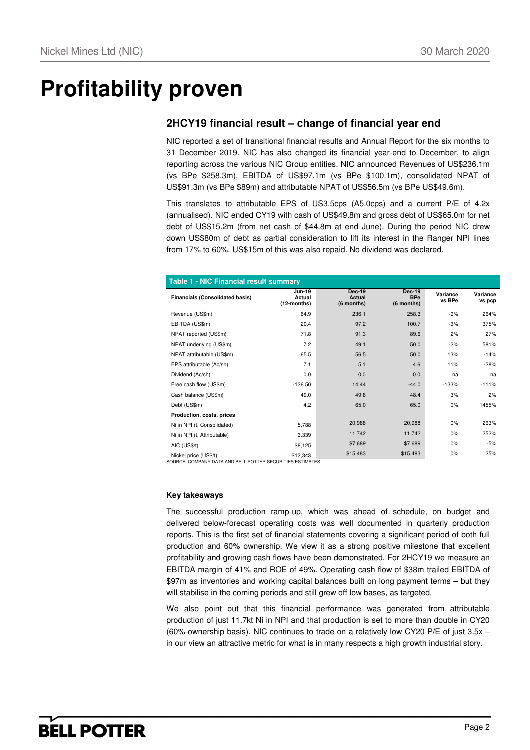## **Profitability proven**

### **2HCY19 financial result – change of financial year end**

NIC reported a set of transitional financial results and Annual Report for the six months to 31 December 2019. NIC has also changed its financial year-end to December, to align reporting across the various NIC Group entities. NIC announced Revenues of US\$236.1m (vs BPe \$258.3m), EBITDA of US\$97.1m (vs BPe \$100.1m), consolidated NPAT of US\$91.3m (vs BPe \$89m) and attributable NPAT of US\$56.5m (vs BPe US\$49.6m).

This translates to attributable EPS of US3.5cps (A5.0cps) and a current P/E of 4.2x (annualised). NIC ended CY19 with cash of US\$49.8m and gross debt of US\$65.0m for net debt of US\$15.2m (from net cash of \$44.8m at end June). During the period NIC drew down US\$80m of debt as partial consideration to lift its interest in the Ranger NPI lines from 17% to 60%. US\$15m of this was also repaid. No dividend was declared.

| <b>Table 1 - NIC Financial result summary</b> |                                        |                                       |                                           |                    |                    |  |  |  |  |
|-----------------------------------------------|----------------------------------------|---------------------------------------|-------------------------------------------|--------------------|--------------------|--|--|--|--|
| <b>Financials (Consolidated basis)</b>        | <b>Jun-19</b><br>Actual<br>(12-months) | <b>Dec-19</b><br>Actual<br>(6 months) | <b>Dec-19</b><br><b>BPe</b><br>(6 months) | Variance<br>vs BPe | Variance<br>vs pcp |  |  |  |  |
| Revenue (US\$m)                               | 64.9                                   | 236.1                                 | 258.3                                     | $-9%$              | 264%               |  |  |  |  |
| EBITDA (US\$m)                                | 20.4                                   | 97.2                                  | 100.7                                     | $-3%$              | 375%               |  |  |  |  |
| NPAT reported (US\$m)                         | 71.8                                   | 91.3                                  | 89.6                                      | 2%                 | 27%                |  |  |  |  |
| NPAT underlying (US\$m)                       | 7.2                                    | 49.1                                  | 50.0                                      | $-2%$              | 581%               |  |  |  |  |
| NPAT attributable (US\$m)                     | 65.5                                   | 56.5                                  | 50.0                                      | 13%                | $-14%$             |  |  |  |  |
| EPS attributable (Ac/sh)                      | 7.1                                    | 5.1                                   | 4.6                                       | 11%                | $-28%$             |  |  |  |  |
| Dividend (Ac/sh)                              | 0.0                                    | 0.0                                   | 0.0                                       | na                 | na                 |  |  |  |  |
| Free cash flow (US\$m)                        | $-136.50$                              | 14.44                                 | $-44.0$                                   | $-133%$            | $-111%$            |  |  |  |  |
| Cash balance (US\$m)                          | 49.0                                   | 49.8                                  | 48.4                                      | 3%                 | 2%                 |  |  |  |  |
| Debt (US\$m)                                  | 4.2                                    | 65.0                                  | 65.0                                      | 0%                 | 1455%              |  |  |  |  |
| Production, costs, prices                     |                                        |                                       |                                           |                    |                    |  |  |  |  |
| Ni in NPI (t, Consolidated)                   | 5,788                                  | 20,988                                | 20,988                                    | 0%                 | 263%               |  |  |  |  |
| Ni in NPI (t, Attributable)                   | 3,339                                  | 11,742                                | 11,742                                    | 0%                 | 252%               |  |  |  |  |
| AIC (US\$/t)                                  | \$8,125                                | \$7,689                               | \$7,689                                   | 0%                 | $-5%$              |  |  |  |  |
| Nickel price (US\$/t)                         | \$12,343                               | \$15,483                              | \$15,483                                  | 0%                 | 25%                |  |  |  |  |

SOURCE: COMPANY DATA AND BELL POTTER SECURITIES ESTIMATES

#### **Key takeaways**

The successful production ramp-up, which was ahead of schedule, on budget and delivered below-forecast operating costs was well documented in quarterly production reports. This is the first set of financial statements covering a significant period of both full production and 60% ownership. We view it as a strong positive milestone that excellent profitability and growing cash flows have been demonstrated. For 2HCY19 we measure an EBITDA margin of 41% and ROE of 49%. Operating cash flow of \$38m trailed EBITDA of \$97m as inventories and working capital balances built on long payment terms – but they will stabilise in the coming periods and still grew off low bases, as targeted.

We also point out that this financial performance was generated from attributable production of just 11.7kt Ni in NPI and that production is set to more than double in CY20 (60%-ownership basis). NIC continues to trade on a relatively low CY20 P/E of just 3.5x – in our view an attractive metric for what is in many respects a high growth industrial story.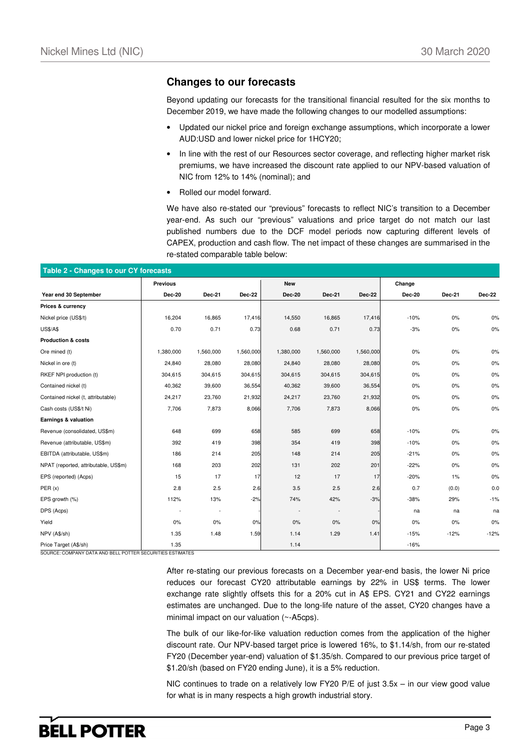#### **Changes to our forecasts**

Beyond updating our forecasts for the transitional financial resulted for the six months to December 2019, we have made the following changes to our modelled assumptions:

- Updated our nickel price and foreign exchange assumptions, which incorporate a lower AUD:USD and lower nickel price for 1HCY20;
- In line with the rest of our Resources sector coverage, and reflecting higher market risk premiums, we have increased the discount rate applied to our NPV-based valuation of NIC from 12% to 14% (nominal); and
- Rolled our model forward.

We have also re-stated our "previous" forecasts to reflect NIC's transition to a December year-end. As such our "previous" valuations and price target do not match our last published numbers due to the DCF model periods now capturing different levels of CAPEX, production and cash flow. The net impact of these changes are summarised in the re-stated comparable table below:

| Table 2 - Changes to our CY forecasts |                 |                          |               |               |               |               |               |        |               |
|---------------------------------------|-----------------|--------------------------|---------------|---------------|---------------|---------------|---------------|--------|---------------|
|                                       | <b>Previous</b> |                          |               | <b>New</b>    |               |               | Change        |        |               |
| Year end 30 September                 | <b>Dec-20</b>   | Dec-21                   | <b>Dec-22</b> | <b>Dec-20</b> | <b>Dec-21</b> | <b>Dec-22</b> | <b>Dec-20</b> | Dec-21 | <b>Dec-22</b> |
| Prices & currency                     |                 |                          |               |               |               |               |               |        |               |
| Nickel price (US\$/t)                 | 16,204          | 16,865                   | 17,416        | 14,550        | 16,865        | 17,416        | $-10%$        | 0%     | $0\%$         |
| <b>US\$/A\$</b>                       | 0.70            | 0.71                     | 0.73          | 0.68          | 0.71          | 0.73          | $-3%$         | $0\%$  | $0\%$         |
| <b>Production &amp; costs</b>         |                 |                          |               |               |               |               |               |        |               |
| Ore mined (t)                         | 1,380,000       | 1,560,000                | 1,560,000     | 1,380,000     | 1,560,000     | 1,560,000     | 0%            | 0%     | 0%            |
| Nickel in ore (t)                     | 24,840          | 28,080                   | 28,080        | 24,840        | 28,080        | 28,080        | $0\%$         | $0\%$  | $0\%$         |
| RKEF NPI production (t)               | 304,615         | 304,615                  | 304,615       | 304,615       | 304,615       | 304,615       | 0%            | 0%     | 0%            |
| Contained nickel (t)                  | 40,362          | 39,600                   | 36,554        | 40,362        | 39,600        | 36,554        | $0\%$         | $0\%$  | $0\%$         |
| Contained nickel (t, attributable)    | 24,217          | 23,760                   | 21,932        | 24,217        | 23,760        | 21,932        | 0%            | 0%     | 0%            |
| Cash costs (US\$/t Ni)                | 7,706           | 7,873                    | 8,066         | 7,706         | 7,873         | 8,066         | 0%            | $0\%$  | $0\%$         |
| Earnings & valuation                  |                 |                          |               |               |               |               |               |        |               |
| Revenue (consolidated, US\$m)         | 648             | 699                      | 658           | 585           | 699           | 658           | $-10%$        | 0%     | $0\%$         |
| Revenue (attributable, US\$m)         | 392             | 419                      | 398           | 354           | 419           | 398           | $-10%$        | $0\%$  | $0\%$         |
| EBITDA (attributable, US\$m)          | 186             | 214                      | 205           | 148           | 214           | 205           | $-21%$        | 0%     | $0\%$         |
| NPAT (reported, attributable, US\$m)  | 168             | 203                      | 202           | 131           | 202           | 201           | $-22%$        | $0\%$  | 0%            |
| EPS (reported) (Acps)                 | 15              | 17                       | 17            | 12            | 17            | 17            | $-20%$        | 1%     | 0%            |
| PER(x)                                | 2.8             | 2.5                      | 2.6           | 3.5           | 2.5           | 2.6           | 0.7           | (0.0)  | 0.0           |
| EPS growth (%)                        | 112%            | 13%                      | $-2%$         | 74%           | 42%           | $-3%$         | $-38%$        | 29%    | $-1%$         |
| DPS (Acps)                            |                 | $\overline{\phantom{a}}$ |               |               |               |               | na            | na     | na            |
| Yield                                 | 0%              | 0%                       | 0%            | $0\%$         | 0%            | 0%            | $0\%$         | 0%     | $0\%$         |
| NPV (A\$/sh)                          | 1.35            | 1.48                     | 1.59          | 1.14          | 1.29          | 1.41          | $-15%$        | $-12%$ | $-12%$        |
| Price Target (A\$/sh)                 | 1.35            |                          |               | 1.14          |               |               | $-16%$        |        |               |

SOURCE: COMPANY DATA AND BELL POTTER SECURITIES ESTIMATES

After re-stating our previous forecasts on a December year-end basis, the lower Ni price reduces our forecast CY20 attributable earnings by 22% in US\$ terms. The lower exchange rate slightly offsets this for a 20% cut in A\$ EPS. CY21 and CY22 earnings estimates are unchanged. Due to the long-life nature of the asset, CY20 changes have a minimal impact on our valuation (~-A5cps).

The bulk of our like-for-like valuation reduction comes from the application of the higher discount rate. Our NPV-based target price is lowered 16%, to \$1.14/sh, from our re-stated FY20 (December year-end) valuation of \$1.35/sh. Compared to our previous price target of \$1.20/sh (based on FY20 ending June), it is a 5% reduction.

NIC continues to trade on a relatively low FY20 P/E of just  $3.5x - in$  our view good value for what is in many respects a high growth industrial story.

## **BELL POTTER**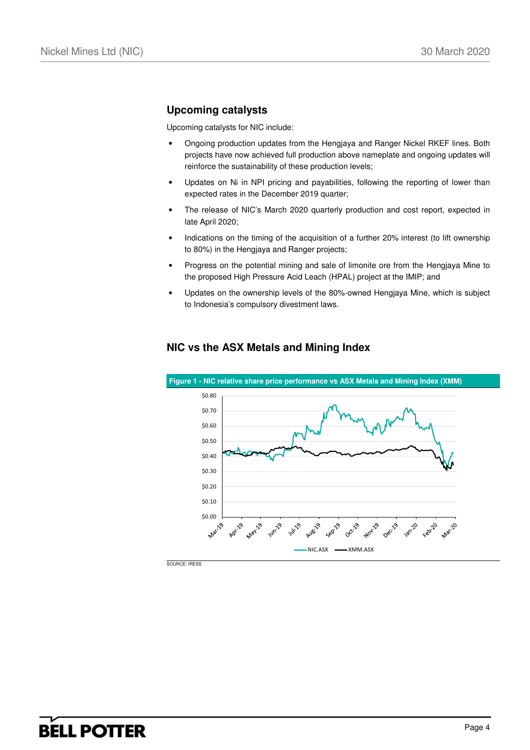## **Upcoming catalysts**

Upcoming catalysts for NIC include:

- Ongoing production updates from the Hengjaya and Ranger Nickel RKEF lines. Both projects have now achieved full production above nameplate and ongoing updates will reinforce the sustainability of these production levels;
- Updates on Ni in NPI pricing and payabilities, following the reporting of lower than expected rates in the December 2019 quarter;
- The release of NIC's March 2020 quarterly production and cost report, expected in late April 2020;
- Indications on the timing of the acquisition of a further 20% interest (to lift ownership to 80%) in the Hengjaya and Ranger projects;
- Progress on the potential mining and sale of limonite ore from the Hengjaya Mine to the proposed High Pressure Acid Leach (HPAL) project at the IMIP; and
- Updates on the ownership levels of the 80%-owned Hengjaya Mine, which is subject to Indonesia's compulsory divestment laws.



### **NIC vs the ASX Metals and Mining Index**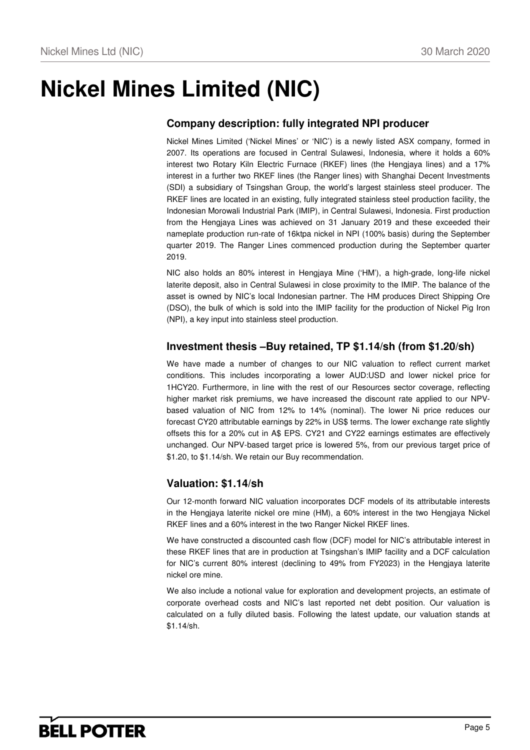## **Nickel Mines Limited (NIC)**

## **Company description: fully integrated NPI producer**

Nickel Mines Limited ('Nickel Mines' or 'NIC') is a newly listed ASX company, formed in 2007. Its operations are focused in Central Sulawesi, Indonesia, where it holds a 60% interest two Rotary Kiln Electric Furnace (RKEF) lines (the Hengjaya lines) and a 17% interest in a further two RKEF lines (the Ranger lines) with Shanghai Decent Investments (SDI) a subsidiary of Tsingshan Group, the world's largest stainless steel producer. The RKEF lines are located in an existing, fully integrated stainless steel production facility, the Indonesian Morowali Industrial Park (IMIP), in Central Sulawesi, Indonesia. First production from the Hengjaya Lines was achieved on 31 January 2019 and these exceeded their nameplate production run-rate of 16ktpa nickel in NPI (100% basis) during the September quarter 2019. The Ranger Lines commenced production during the September quarter 2019.

NIC also holds an 80% interest in Hengjaya Mine ('HM'), a high-grade, long-life nickel laterite deposit, also in Central Sulawesi in close proximity to the IMIP. The balance of the asset is owned by NIC's local Indonesian partner. The HM produces Direct Shipping Ore (DSO), the bulk of which is sold into the IMIP facility for the production of Nickel Pig Iron (NPI), a key input into stainless steel production.

#### **Investment thesis –Buy retained, TP \$1.14/sh (from \$1.20/sh)**

We have made a number of changes to our NIC valuation to reflect current market conditions. This includes incorporating a lower AUD:USD and lower nickel price for 1HCY20. Furthermore, in line with the rest of our Resources sector coverage, reflecting higher market risk premiums, we have increased the discount rate applied to our NPVbased valuation of NIC from 12% to 14% (nominal). The lower Ni price reduces our forecast CY20 attributable earnings by 22% in US\$ terms. The lower exchange rate slightly offsets this for a 20% cut in A\$ EPS. CY21 and CY22 earnings estimates are effectively unchanged. Our NPV-based target price is lowered 5%, from our previous target price of \$1.20, to \$1.14/sh. We retain our Buy recommendation.

### **Valuation: \$1.14/sh**

Our 12-month forward NIC valuation incorporates DCF models of its attributable interests in the Hengjaya laterite nickel ore mine (HM), a 60% interest in the two Hengjaya Nickel RKEF lines and a 60% interest in the two Ranger Nickel RKEF lines.

We have constructed a discounted cash flow (DCF) model for NIC's attributable interest in these RKEF lines that are in production at Tsingshan's IMIP facility and a DCF calculation for NIC's current 80% interest (declining to 49% from FY2023) in the Hengjaya laterite nickel ore mine.

We also include a notional value for exploration and development projects, an estimate of corporate overhead costs and NIC's last reported net debt position. Our valuation is calculated on a fully diluted basis. Following the latest update, our valuation stands at \$1.14/sh.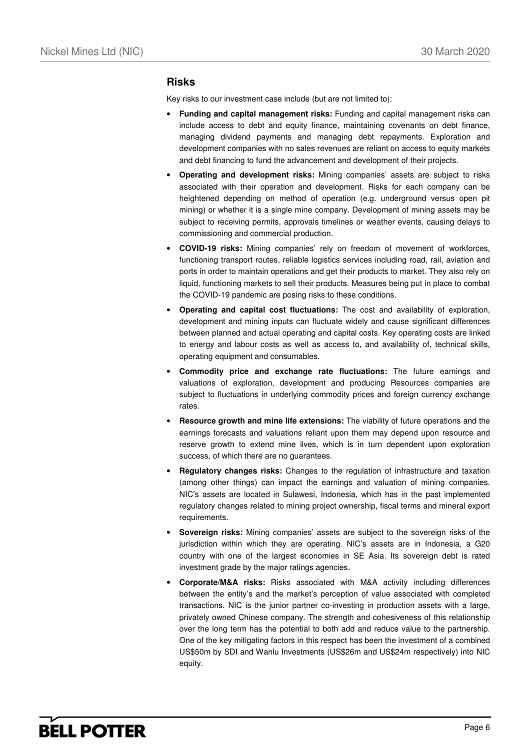#### **Risks**

Key risks to our investment case include (but are not limited to):

- **Funding and capital management risks:** Funding and capital management risks can include access to debt and equity finance, maintaining covenants on debt finance, managing dividend payments and managing debt repayments. Exploration and development companies with no sales revenues are reliant on access to equity markets and debt financing to fund the advancement and development of their projects.
- **Operating and development risks:** Mining companies' assets are subject to risks associated with their operation and development. Risks for each company can be heightened depending on method of operation (e.g. underground versus open pit mining) or whether it is a single mine company. Development of mining assets may be subject to receiving permits, approvals timelines or weather events, causing delays to commissioning and commercial production.
- **COVID-19 risks:** Mining companies' rely on freedom of movement of workforces, functioning transport routes, reliable logistics services including road, rail, aviation and ports in order to maintain operations and get their products to market. They also rely on liquid, functioning markets to sell their products. Measures being put in place to combat the COVID-19 pandemic are posing risks to these conditions.
- **Operating and capital cost fluctuations:** The cost and availability of exploration, development and mining inputs can fluctuate widely and cause significant differences between planned and actual operating and capital costs. Key operating costs are linked to energy and labour costs as well as access to, and availability of, technical skills, operating equipment and consumables.
- **Commodity price and exchange rate fluctuations:** The future earnings and valuations of exploration, development and producing Resources companies are subject to fluctuations in underlying commodity prices and foreign currency exchange rates.
- **Resource growth and mine life extensions:** The viability of future operations and the earnings forecasts and valuations reliant upon them may depend upon resource and reserve growth to extend mine lives, which is in turn dependent upon exploration success, of which there are no guarantees.
- **Regulatory changes risks:** Changes to the regulation of infrastructure and taxation (among other things) can impact the earnings and valuation of mining companies. NIC's assets are located in Sulawesi, Indonesia, which has in the past implemented regulatory changes related to mining project ownership, fiscal terms and mineral export requirements.
- **Sovereign risks:** Mining companies' assets are subject to the sovereign risks of the jurisdiction within which they are operating. NIC's assets are in Indonesia, a G20 country with one of the largest economies in SE Asia. Its sovereign debt is rated investment grade by the major ratings agencies.
- **Corporate/M&A risks:** Risks associated with M&A activity including differences between the entity's and the market's perception of value associated with completed transactions. NIC is the junior partner co-investing in production assets with a large, privately owned Chinese company. The strength and cohesiveness of this relationship over the long term has the potential to both add and reduce value to the partnership. One of the key mitigating factors in this respect has been the investment of a combined US\$50m by SDI and Wanlu Investments (US\$26m and US\$24m respectively) into NIC equity.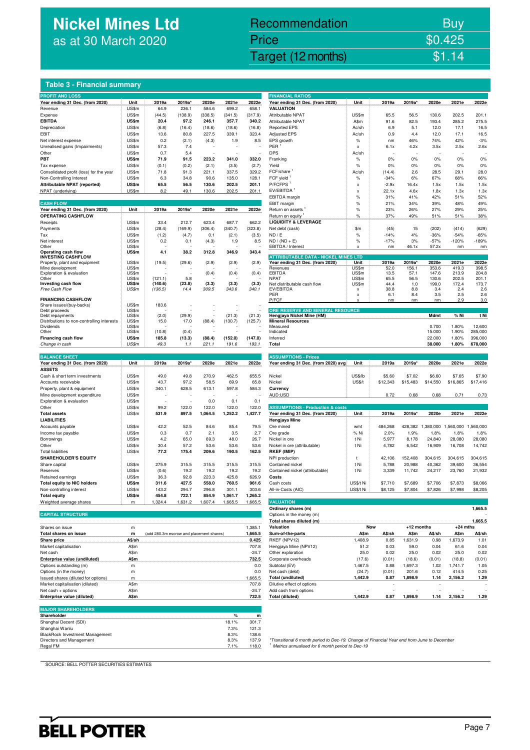## **Nickel Mines Ltd** as at 30 March 2020

## Nickel Mines Ltd (Nickel Mines Ltd (Nickel Mines Ltd (Nickel Mines Ltd (Nickel Mines Ltd Control) \$1.14 Recommendation Buy Price \$0.425

#### **Table 3 - Financial summary**

| <b>PROFIT AND LOSS</b>                                             |                |                                          |                 |                  |                   |                   | <b>FINANCIAL RATIOS</b>                                                                    |                           |              |              |                   |                |                |
|--------------------------------------------------------------------|----------------|------------------------------------------|-----------------|------------------|-------------------|-------------------|--------------------------------------------------------------------------------------------|---------------------------|--------------|--------------|-------------------|----------------|----------------|
| Year ending 31 Dec. (from 2020)                                    | Unit           | 2019a                                    | 2019a'          | 2020e            | 2021e             | 2022e             | Year ending 31 Dec. (from 2020)                                                            | Unit                      | 2019a        | 2019a'       | 2020e             | 2021e          | 2022e          |
| Revenue                                                            | US\$m          | 64.9                                     | 236.1           | 584.6            | 699.2             | 658.1             | <b>VALUATION</b>                                                                           |                           |              |              |                   |                |                |
| Expense<br><b>EBITDA</b>                                           | US\$m<br>US\$m | (44.5)<br>20.4                           | (138.9)<br>97.2 | (338.5)<br>246.1 | (341.5)<br>357.7  | (317.9)<br>340.2  | Attributable NPAT<br><b>Attributable NPAT</b>                                              | US\$m<br>A\$m             | 65.5<br>91.6 | 56.5<br>82.5 | 130.6<br>193.4    | 202.5<br>285.2 | 201.1<br>275.5 |
| Depreciation                                                       | US\$m          | (6.8)                                    | (16.4)          | (18.6)           | (18.6)            | (16.8)            | <b>Reported EPS</b>                                                                        | Ac/sh                     | 6.9          | 5.1          | 12.0              | 17.1           | 16.5           |
| EBIT                                                               | US\$m          | 13.6                                     | 80.8            | 227.5            | 339.1             | 323.4             | <b>Adjusted EPS</b>                                                                        | Ac/sh                     | 0.9          | 4.4          | 12.0              | 17.1           | 16.5           |
| Net interest expense                                               | US\$m          | 0.2                                      | (2.1)           | (4.3)            | 1.9               | 8.5               | EPS growth                                                                                 | $\%$                      | nm           | 46%          | 74%               | 42%            | $-3%$          |
| Unrealised gains (Impairments)                                     | US\$m          | 57.3                                     | 7.4             |                  |                   |                   | PER                                                                                        | $\boldsymbol{\mathsf{x}}$ | 6.1x         | 4.2x         | 3.5x              | 2.5x           | 2.6x           |
| Other                                                              | US\$m          | 0.7                                      | 5.4             |                  |                   |                   | <b>DPS</b>                                                                                 | Ac/sh                     |              |              |                   |                |                |
| PBT                                                                | US\$m          | 71.9                                     | 91.5            | 223.2            | 341.0             | 332.0             | Franking                                                                                   | $\%$                      | 0%           | 0%           | 0%                | 0%             | 0%             |
| Tax expense                                                        | US\$m          | (0.1)                                    | (0.2)           | (2.1)            | (3.5)             | (2.7)             | Yield                                                                                      | $\%$                      | 0%           | 0%           | 0%                | 0%             | 0%             |
| Consolidated profit (loss) for the year                            | US\$m          | 71.8                                     | 91.3            | 221.1            | 337.5             | 329.2             | FCF/share                                                                                  | Ac/sh                     | (14.4)       | 2.6          | 28.5              | 29.1           | 28.0           |
| Non-Controlling Interest                                           | US\$m          | 6.3                                      | 34.8            | 90.6             | 135.0             | 128.1             | FCF yield                                                                                  | $\%$                      | $-34%$       | 6%           | 67%               | 68%            | 66%            |
| Attributable NPAT (reported)                                       | US\$m          | 65.5                                     | 56.5            | 130.6            | 202.5             | 201.1             | P/FCFPS <sup>1</sup>                                                                       | X                         | $-2.9x$      | 16.4x        | 1.5x              | 1.5x           | 1.5x           |
| NPAT (underlying)                                                  | US\$m          | 8.2                                      | 49.1            | 130.6            | 202.5             | 201.1             | EV/EBITDA <sup>1</sup>                                                                     | $\boldsymbol{\mathsf{x}}$ | 22.1x        | 4.6x         | 1.8x              | 1.3x           | 1.3x           |
|                                                                    |                |                                          |                 |                  |                   |                   | EBITDA margin                                                                              | %                         | 31%          | 41%          | 42%               | 51%            | 52%            |
| <b>CASH FLOW</b><br>Year ending 31 Dec. (from 2020)                | Unit           | 2019a                                    | 2019a'          | 2020e            | 2021e             | 2022e             | EBIT margin<br>Return on assets                                                            | $\%$<br>$\%$              | 21%<br>23%   | 34%<br>26%   | 39%<br>27%        | 48%<br>29%     | 49%<br>25%     |
| <b>OPERATING CASHFLOW</b>                                          |                |                                          |                 |                  |                   |                   | Return on equity                                                                           | $\%$                      | 37%          | 49%          | 51%               | 51%            | 38%            |
| Receipts                                                           | US\$m          | 33.4                                     | 212.7           | 623.4            | 687.7             | 662.2             | <b>LIQUIDITY &amp; LEVERAGE</b>                                                            |                           |              |              |                   |                |                |
| Payments                                                           | US\$m          | (28.4)                                   | (169.9)         | (306.4)          | (340.7)           | (323.8)           | Net debt (cash)                                                                            | \$m                       | (45)         | 15           | (202)             | (414)          | (629)          |
| Tax                                                                | US\$m          | (1.2)                                    | (4.7)           | 0.1              | (2.1)             | (3.5)             | ND / E                                                                                     | $\%$                      | $-14%$       | 4%           | $-36%$            | $-54%$         | $-65%$         |
| Net interest                                                       | US\$m          | 0.2                                      | 0.1             | (4.3)            | 1.9               | 8.5               | $ND / (ND + E)$                                                                            | $\%$                      | $-17%$       | 3%           | $-57%$            | $-120%$        | $-189%$        |
| Other                                                              | US\$m          |                                          |                 |                  |                   |                   | EBITDA / Interest                                                                          | $\boldsymbol{\mathsf{x}}$ | nm           | 46.1x        | 57.2x             | nm             | nm             |
| Operating cash flow                                                | US\$m          | 4.1                                      | 38.2            | 312.8            | 346.9             | 343.4             |                                                                                            |                           |              |              |                   |                |                |
| <b>INVESTING CASHFLOW</b><br>Property, plant and equipment         | US\$m          | (19.5)                                   | (29.6)          | (2.9)            | (2.9)             | (2.9)             | <b>ATTRIBUTABLE DATA - NICKEL MINES LTD</b><br>Year ending 31 Dec. (from 2020)             | Unit                      | 2019a        | 2019a        | 2020e             | 2021e          | 2022e          |
| Mine development                                                   | US\$m          |                                          |                 |                  |                   |                   | Revenues                                                                                   | US\$m                     | 52.0         | 156.1        | 353.6             | 419.3          | 398.5          |
| Exploration & evaluation                                           | US\$m          |                                          |                 | (0.4)            | (0.4)             | (0.4)             | EBITDA                                                                                     | US\$m                     | 13.5         | 57.1         | 147.6             | 213.9          | 204.8          |
| Other                                                              | US\$m          | (121.1)                                  | 5.8             |                  |                   |                   | <b>NPAT</b>                                                                                | US\$m                     | 65.5         | 56.5         | 130.6             | 202.5          | 201.1          |
| Investing cash flow<br>Free Cash Flow                              | US\$m<br>US\$m | (140.6)<br>(136.5)                       | (23.8)<br>14.4  | (3.3)<br>309.5   | (3.3)<br>343.6    | (3.3)<br>340.1    | Net distributable cash flow<br>EV/EBITDA                                                   | US\$m                     | 44.4<br>38.8 | 1.0<br>8.8   | 199.0<br>3.4      | 172.4<br>2.4   | 173.7<br>2.6   |
|                                                                    |                |                                          |                 |                  |                   |                   | PER                                                                                        | x<br>X                    | 6.1          | 8.4          | 3.5               | 2.5            | 2.6            |
| <b>FINANCING CASHFLOW</b>                                          |                |                                          |                 |                  |                   |                   | P/FCF                                                                                      |                           | nm           | nm           | nm                | 2.9            | 3.0            |
| Share issues/(buy-backs)                                           | US\$m          | 183.6                                    |                 |                  |                   |                   |                                                                                            |                           |              |              |                   |                |                |
| Debt proceeds                                                      | US\$m          |                                          |                 |                  |                   |                   | ORE RESERVE AND MINERAL RESOURCE<br>Hengjaya Nickel Mine (HM)                              |                           |              |              | Mdmt              | % Ni           | t Ni           |
| Debt repayments<br>Distributions to non-controlling interests      | US\$m<br>US\$m | (2.0)<br>15.0                            | (29.9)<br>17.0  | (88.4)           | (21.3)<br>(130.7) | (21.3)<br>(125.7) | <b>Mineral Resources</b>                                                                   |                           |              |              |                   |                |                |
| Dividends                                                          | US\$m          |                                          |                 |                  |                   |                   | Measured                                                                                   |                           |              |              | 0.700             | 1.80%          | 12,600         |
| Other                                                              | US\$m          | (10.8)                                   | (0.4)           |                  |                   |                   | Indicated                                                                                  |                           |              |              | 15.000            | 1.90%          | 285,000        |
| Financing cash flow                                                | US\$m          | 185.8                                    | (13.3)          | (88.4)           | (152.0)           | (147.0)           | Inferred                                                                                   |                           |              |              | 22.000            | 1.80%          | 396,000        |
| Change in cash                                                     | US\$m          | 49.3                                     | 1.1             | 221.1            | 191.6             | 193.1             | Total                                                                                      |                           |              |              | 38.000            | 1.80%          | 678,000        |
|                                                                    |                |                                          |                 |                  |                   |                   |                                                                                            |                           |              |              |                   |                |                |
| <b>BALANCE SHEET</b><br>Year ending 31 Dec. (from 2020)            | Unit           | 2019a                                    | 2019a*          | 2020e            | 2021e             | 2022e             | <b>ASSUMPTIONS - Prices</b><br>Year ending 31 Dec. (from 2020) avg                         | Unit                      | 2019a        | 2019a'       | 2020e             | 2021e          | 2022e          |
| <b>ASSETS</b>                                                      |                |                                          |                 |                  |                   |                   |                                                                                            |                           |              |              |                   |                |                |
| Cash & short term investments                                      | US\$m          | 49.0                                     | 49.8            | 270.9            | 462.5             | 655.5             | Nickel                                                                                     | US\$/lb                   | \$5.60       | \$7.02       | \$6.60            | \$7.65         | \$7.90         |
| Accounts receivable                                                | US\$m          | 43.7                                     | 97.2            | 58.5             | 69.9              | 65.8              | Nickel                                                                                     | US\$/t                    | \$12,343     | \$15,483     | \$14,550          | \$16,865       | \$17,416       |
| Property, plant & equipment                                        | US\$m          | 340.1                                    | 628.5           | 613.1            | 597.8             | 584.3             | Currency                                                                                   |                           |              |              |                   |                |                |
| Mine development expenditure                                       | US\$m          |                                          |                 |                  |                   |                   | AUD:USD                                                                                    |                           | 0.72         | 0.68         | 0.68              | 0.71           | 0.73           |
| Exploration & evaluation                                           | US\$m          |                                          |                 | 0.0              | 0.1               | 0.1               |                                                                                            |                           |              |              |                   |                |                |
| Other                                                              | US\$m          | 99.2                                     | 122.0           | 122.0            | 122.0             | 122.0             | <b>ASSUMPTIONS - Production &amp; costs</b>                                                |                           |              |              |                   |                |                |
| <b>Total assets</b>                                                | US\$m          | 531.9                                    | 897.5           | 1,064.5          | 1,252.2           | 1,427.7           | Year ending 31 Dec. (from 2020)                                                            | Unit                      | 2019a        | 2019a'       | 2020e             | 2021e          | 2022e          |
| <b>LIABILITIES</b>                                                 |                |                                          |                 |                  |                   |                   | Hengjaya Mine                                                                              |                           |              |              |                   |                |                |
| Accounts payable                                                   | US\$m          | 42.2                                     | 52.5            | 84.6             | 85.4              | 79.5              | Ore mined                                                                                  | wmt                       | 484,268      |              | 428,382 1,380,000 | 1,560,000      | 1,560,000      |
| Income tax payable                                                 | US\$m          | 0.3                                      | 0.7             | 2.1              | 3.5               | 2.7               | Ore grade                                                                                  | % Ni                      | 2.0%         | 1.9%         | 1.8%              | 1.8%           | 1.8%           |
| Borrowings                                                         | US\$m          | 4.2                                      | 65.0            | 69.3             | 48.0              | 26.7              | Nickel in ore                                                                              | t Ni                      | 5,977        | 8,178        | 24,840            | 28,080         | 28,080         |
| Other                                                              | US\$m          | 30.4                                     | 57.2            | 53.6             | 53.6              | 53.6              | Nickel in ore (attributable)                                                               | t Ni                      | 4,782        | 6,542        | 16,909            | 16,708         | 14,742         |
| <b>Total liabilities</b>                                           | US\$m          | 77.2                                     | 175.4           | 209.6            | 190.5             | 162.5             | <b>RKEF (IMIP)</b>                                                                         |                           |              |              |                   |                |                |
| <b>SHAREHOLDER'S EQUITY</b>                                        |                |                                          |                 |                  |                   |                   | NPI production                                                                             | t                         | 42,106       | 152,408      | 304,615           | 304,615        | 304,615        |
| Share capital                                                      | US\$m          | 275.9                                    | 315.5           | 315.5            | 315.5             | 315.5             | Contained nickel                                                                           | t Ni                      | 5,788        | 20,988       | 40,362            | 39,600         | 36,554         |
| Reserves                                                           | US\$m<br>US\$m | (0.6)<br>36.3                            | 19.2<br>92.8    | 19.2<br>223.3    | 19.2<br>425.8     | 19.2<br>626.9     | Contained nickel (attributable)                                                            | t Ni                      | 3,339        | 11,742       | 24,217            | 23,760         | 21,932         |
| Retained earnings<br><b>Total equity to NIC holders</b>            | US\$m          | 311.6                                    | 427.5           | 558.0            | 760.5             | 961.6             | Costs<br>Cash costs                                                                        | US\$/t Ni                 | \$7,710      | \$7,689      | \$7,706           | \$7,873        | \$8,066        |
| Non-controlling interest                                           | US\$m          | 143.2                                    | 294.7           | 296.8            | 301.1             | 303.6             | All-in-Costs (AIC)                                                                         | US\$/t Ni                 | \$8,125      | \$7,804      | \$7,826           | \$7,998        | \$8,205        |
| <b>Total equity</b>                                                | US\$m          | 454.8                                    | 722.1           | 854.9            | 1,061.7           | 1,265.2           |                                                                                            |                           |              |              |                   |                |                |
| Weighted average shares                                            | m              | 1,324.4                                  | 1,631.2         | 1,607.4          | 1,665.5           | 1,665.5           | <b>VALUATION</b>                                                                           |                           |              |              |                   |                |                |
|                                                                    |                |                                          |                 |                  |                   |                   | Ordinary shares (m)                                                                        |                           |              |              |                   |                | 1,665.5        |
| <b>CAPITAL STRUCTURE</b>                                           |                |                                          |                 |                  |                   |                   | Options in the money (m)                                                                   |                           |              |              |                   |                |                |
|                                                                    |                |                                          |                 |                  |                   |                   | Total shares diluted (m)                                                                   |                           |              |              |                   |                | 1,665.5        |
| Shares on issue                                                    | m              |                                          |                 |                  |                   | 1,385.1           | Valuation                                                                                  | Now                       |              | +12 months   |                   | $+24$ mths     |                |
| Total shares on issue                                              | m              | (add 280.3m escrow and placement shares) |                 |                  |                   | 1,665.5           | Sum-of-the-parts                                                                           | A\$m                      | A\$/sh       | A\$m         | A\$/sh            | A\$m           | A\$/sh         |
| Share price                                                        | A\$/sh         |                                          |                 |                  |                   | 0.425             | RKEF (NPV12)                                                                               | 1,408.9                   | 0.85         | 1,631.9      | 0.98              | 1,673.9        | 1.01           |
| Market capitalisation                                              | A\$m           |                                          |                 |                  |                   | 707.8             | Hengjaya Mine (NPV12)                                                                      | 51.2                      | 0.03         | 59.0         | 0.04              | 61.6           | 0.04           |
| Net cash                                                           | A\$m           |                                          |                 |                  |                   | $-24.7$           | Other exploration                                                                          | 25.0                      | 0.02         | 25.0         | 0.02              | 25.0           | 0.02           |
| Enterprise value (undiluted)                                       | A\$m           |                                          |                 |                  |                   | 732.5             | Corporate overheads                                                                        | (17.6)                    | (0.01)       | (18.6)       | (0.01)            | (18.8)         | (0.01)         |
| Options outstanding (m)                                            | m              |                                          |                 |                  |                   | 0.0               | Subtotal (EV)                                                                              | 1,467.5                   | 0.88         | 1,697.3      | 1.02              | 1,741.7        | 1.05           |
| Options (in the money)                                             | m              |                                          |                 |                  |                   | 0.0               | Net cash (debt)                                                                            | (24.7)                    | (0.01)       | 201.6        | 0.12              | 414.5          | 0.25           |
| Issued shares (diluted for options)                                | m              |                                          |                 |                  |                   | 1,665.5           | Total (undiluted)                                                                          | 1,442.9                   | 0.87         | 1,898.9      | 1.14              | 2,156.2        | 1.29           |
| Market capitalisation (diluted)                                    | A\$m           |                                          |                 |                  |                   | 707.8             | Dilutive effect of options                                                                 |                           |              |              |                   |                |                |
| Net cash + options                                                 | A\$m           |                                          |                 |                  |                   | $-24.7$           | Add cash from options                                                                      |                           |              |              |                   |                |                |
| Enterprise value (diluted)                                         | <b>A\$m</b>    |                                          |                 |                  |                   | 732.5             | <b>Total (diluted)</b>                                                                     | 1,442.9                   | 0.87         | 1,898.9      | 1.14              | 2,156.2        | 1.29           |
|                                                                    |                |                                          |                 |                  |                   |                   |                                                                                            |                           |              |              |                   |                |                |
| <b>MAJOR SHAREHOLDERS</b>                                          |                |                                          |                 |                  |                   |                   |                                                                                            |                           |              |              |                   |                |                |
|                                                                    |                |                                          |                 |                  |                   |                   |                                                                                            |                           |              |              |                   |                |                |
| Shareholder                                                        |                |                                          |                 |                  | %                 | m                 |                                                                                            |                           |              |              |                   |                |                |
| Shanghai Decent (SDI)                                              |                |                                          |                 |                  | 18.1%             | 301.7             |                                                                                            |                           |              |              |                   |                |                |
| Shanghai Wanlu                                                     |                |                                          |                 |                  | 7.3%              | 121.3             |                                                                                            |                           |              |              |                   |                |                |
| <b>BlackRock Investment Management</b><br>Directors and Management |                |                                          |                 |                  | 8.3%<br>8.3%      | 138.6<br>137.9    | *Transitional 6 month period to Dec-19. Change of Financial Year end from June to December |                           |              |              |                   |                |                |

| <b>FINANCIAL RATIOS</b>                                                                                                                                                                                                                                 |                          |                    |                    |                    |                                       |                    |
|---------------------------------------------------------------------------------------------------------------------------------------------------------------------------------------------------------------------------------------------------------|--------------------------|--------------------|--------------------|--------------------|---------------------------------------|--------------------|
| Year ending 31 Dec. (from 2020)                                                                                                                                                                                                                         | Unit                     | 2019a              | 2019a*             | 2020e              | 2021e                                 | 2022e              |
| <b>VALUATION</b>                                                                                                                                                                                                                                        |                          |                    |                    |                    |                                       |                    |
| Attributable NPAT<br>Attributable NPAT                                                                                                                                                                                                                  | US\$m<br>A\$m            | 65.5<br>91.6       | 56.5<br>82.5       | 130.6<br>193.4     | 202.5<br>285.2                        | 201.1<br>275.5     |
| Reported EPS                                                                                                                                                                                                                                            | Ac/sh                    | 6.9                | 5.1                | 12.0               | 17.1                                  | 16.5               |
| Adjusted EPS                                                                                                                                                                                                                                            | Ac/sh                    | 0.9                | 4.4                | 12.0               | 17.1                                  | 16.5               |
| <b>EPS</b> growth                                                                                                                                                                                                                                       | %                        | nm                 | 46%                | 74%                | 42%                                   | $-3%$              |
| PER                                                                                                                                                                                                                                                     | $\mathsf{x}$             | 6.1x               | 4.2x               | 3.5x               | 2.5x                                  | 2.6x               |
| DPS<br>Franking                                                                                                                                                                                                                                         | Ac/sh<br>$\frac{9}{6}$   | 0%                 | 0%                 | 0%                 | 0%                                    | 0%                 |
| Yield                                                                                                                                                                                                                                                   | %                        | 0%                 | 0%                 | 0%                 | 0%                                    | 0%                 |
| FCF/share '                                                                                                                                                                                                                                             | Ac/sh                    | (14.4)             | 2.6                | 28.5               | 29.1                                  | 28.0               |
| FCF yield <sup>1</sup>                                                                                                                                                                                                                                  | $\%$                     | $-34%$             | 6%                 | 67%                | 68%                                   | 66%                |
| P/FCFPS <sup>1</sup>                                                                                                                                                                                                                                    | x                        | $-2.9x$            | 16.4x              | 1.5x               | 1.5x                                  | 1.5x               |
| EV/EBITDA <sup>1</sup>                                                                                                                                                                                                                                  | $\mathsf{x}$             | 22.1x              | 4.6x<br>41%        | 1.8x<br>42%        | 1.3x                                  | 1.3x               |
| EBITDA margin<br>EBIT margin                                                                                                                                                                                                                            | $\%$<br>$\%$             | 31%<br>21%         | 34%                | 39%                | 51%<br>48%                            | 52%<br>49%         |
| Return on assets '                                                                                                                                                                                                                                      | %                        | 23%                | 26%                | 27%                | 29%                                   | 25%                |
| Return on equity                                                                                                                                                                                                                                        | %                        | 37%                | 49%                | 51%                | 51%                                   | 38%                |
| <b>LIQUIDITY &amp; LEVERAGE</b>                                                                                                                                                                                                                         |                          |                    |                    |                    |                                       |                    |
| Net debt (cash)<br>ND / E                                                                                                                                                                                                                               | \$m<br>%                 | (45)<br>$-14%$     | 15<br>4%           | (202)<br>$-36%$    | (414)<br>$-54%$                       | (629)<br>$-65%$    |
| ND / (ND + E)                                                                                                                                                                                                                                           | %                        | $-17%$             | 3%                 | $-57%$             | $-120%$                               | -189%              |
| EBITDA / Interest                                                                                                                                                                                                                                       | x                        | nm                 | 46.1x              | 57.2x              | nm                                    | nm                 |
| <b>ATTRIBUTABLE DATA - NICKEL MINES LTD</b>                                                                                                                                                                                                             |                          |                    |                    |                    |                                       |                    |
| Year ending 31 Dec. (from 2020)                                                                                                                                                                                                                         | Unit<br>Į.,              | 2019a              | 2019a*             | 2020e              | 2021e                                 | 2022e              |
| Revenues                                                                                                                                                                                                                                                | US\$m                    | 52.0               | 156.1              | 353.6              | 419.3                                 | 398.5              |
| EBITDA<br>NPAT                                                                                                                                                                                                                                          | US\$m<br>US\$m           | 13.5<br>65.5       | 57.1<br>56.5       | 147.6<br>130.6     | 213.9<br>202.5                        | 204.8<br>201.1     |
| Net distributable cash flow                                                                                                                                                                                                                             | US\$m                    | 44.4               | 1.0                | 199.0              | 172.4                                 | 173.7              |
| EV/EBITDA                                                                                                                                                                                                                                               | X                        | 38.8               | 8.8                | 3.4                | 2.4                                   | 2.6                |
| PER<br>P/FCF                                                                                                                                                                                                                                            | X<br>x                   | 6.1<br>nm          | 8.4<br>nm          | 3.5<br>nm          | 2.5<br>2.9                            | 2.6<br>3.0         |
|                                                                                                                                                                                                                                                         |                          |                    |                    |                    |                                       |                    |
| ORE RESERVE AND MINERAL RESOURCE<br>Hengjaya Nickel Mine (HM)                                                                                                                                                                                           |                          |                    |                    | Mdmt               | % Ni                                  | t Ni               |
| <b>Mineral Resources</b>                                                                                                                                                                                                                                |                          |                    |                    |                    |                                       |                    |
| Measured                                                                                                                                                                                                                                                |                          |                    |                    | 0.700              | 1.80%                                 | 12,600             |
| Indicated                                                                                                                                                                                                                                               |                          |                    |                    | 15.000             | 1.90%                                 | 285,000            |
|                                                                                                                                                                                                                                                         |                          |                    |                    |                    |                                       |                    |
|                                                                                                                                                                                                                                                         |                          |                    |                    | 22.000<br>38.000   | 1.80%<br>1.80%                        | 396,000<br>678,000 |
|                                                                                                                                                                                                                                                         |                          |                    |                    |                    |                                       |                    |
| Inferred<br>Total<br><b>ASSUMPTIONS - Prices</b>                                                                                                                                                                                                        |                          |                    |                    |                    |                                       |                    |
| Year ending 31 Dec. (from 2020) avg                                                                                                                                                                                                                     | Unit                     | 2019a              | $2019a^{\star}$    | 2020e              | 2021e                                 | 2022e              |
|                                                                                                                                                                                                                                                         |                          |                    |                    |                    |                                       |                    |
| Nickel<br>Nickel                                                                                                                                                                                                                                        | US\$/lb<br><b>US\$/t</b> | \$5.60<br>\$12,343 | \$7.02<br>\$15,483 | \$6.60<br>\$14,550 | \$7.65<br>\$16,865                    | \$7.90<br>\$17,416 |
| Currency                                                                                                                                                                                                                                                |                          |                    |                    |                    |                                       |                    |
| AUD:USD                                                                                                                                                                                                                                                 |                          | 0.72               | 0.68               | 0.68               | 0.71                                  | 0.73               |
|                                                                                                                                                                                                                                                         |                          |                    |                    |                    |                                       |                    |
| <b>ASSUMPTIONS - Production &amp; costs</b><br>Year ending 31 Dec. (from 2020)                                                                                                                                                                          | Unit                     | 2019a              | $2019a^*$          | 2020e              | 2021e                                 | 2022e              |
| Hengjaya Mine                                                                                                                                                                                                                                           |                          |                    |                    |                    |                                       |                    |
|                                                                                                                                                                                                                                                         | wmt                      | 484,268            |                    |                    | 428,382 1,380,000 1,560,000 1,560,000 |                    |
|                                                                                                                                                                                                                                                         | % Ni                     | 2.0%               | 1.9%               | 1.8%               | 1.8%                                  | 1.8%               |
|                                                                                                                                                                                                                                                         | t Ni                     | 5,977              | 8,178              | 24,840             | 28,080                                | 28,080             |
|                                                                                                                                                                                                                                                         | t Ni                     | 4,782              | 6,542              | 16,909             | 16,708                                | 14,742             |
|                                                                                                                                                                                                                                                         | t                        | 42,106             | 152,408            | 304,615            | 304,615                               | 304,615            |
|                                                                                                                                                                                                                                                         | t Ni                     | 5,788              | 20,988             | 40,362             | 39,600                                | 36,554             |
|                                                                                                                                                                                                                                                         | t Ni                     | 3,339              | 11,742             | 24,217             | 23,760                                | 21,932             |
|                                                                                                                                                                                                                                                         |                          |                    |                    |                    |                                       |                    |
|                                                                                                                                                                                                                                                         | US\$/t Ni                | \$7,710            | \$7,689            | \$7,706            | \$7,873                               | \$8,066            |
|                                                                                                                                                                                                                                                         | US\$/t Ni                | \$8,125            | \$7,804            | \$7,826            | \$7,998                               | \$8,205            |
|                                                                                                                                                                                                                                                         |                          |                    |                    |                    |                                       |                    |
| Ore mined<br>Ore grade<br>Nickel in ore<br>Nickel in ore (attributable)<br>RKEF (IMIP)<br>NPI production<br>Contained nickel<br>Contained nickel (attributable)<br>Costs<br>Cash costs<br>All-in-Costs (AIC)<br><b>VALUATION</b><br>Ordinary shares (m) |                          |                    |                    |                    |                                       | 1,665.5            |
|                                                                                                                                                                                                                                                         |                          |                    |                    |                    |                                       |                    |
| Options in the money (m)<br>Total shares diluted (m)<br>Valuation                                                                                                                                                                                       | Now                      |                    | +12 months         |                    | $+24$ mths                            | 1,665.5            |
| Sum-of-the-parts                                                                                                                                                                                                                                        |                          | A\$/sh             |                    |                    | A\$/sh A\$m                           | A\$/sh             |
| <b>A\$m</b><br>RKEF (NPV12)                                                                                                                                                                                                                             | 1,408.9                  | 0.85               | A\$m<br>1,631.9    | 0.98               | 1,673.9                               | 1.01               |
| Hengjaya Mine (NPV12)                                                                                                                                                                                                                                   | 51.2                     | 0.03               | 59.0               | 0.04               | 61.6                                  | 0.04               |
| Other exploration                                                                                                                                                                                                                                       | 25.0                     | 0.02               | 25.0               | 0.02               | 25.0                                  | 0.02               |
| Corporate overheads                                                                                                                                                                                                                                     | (17.6)                   | (0.01)             | (18.6)             | (0.01)             | (18.8)                                | (0.01)             |
| Subtotal (EV)<br>Net cash (debt)                                                                                                                                                                                                                        | 1,467.5                  | 0.88<br>(0.01)     | 1,697.3<br>201.6   | 1.02<br>0.12       | 1,741.7<br>414.5                      | 1.05<br>0.25       |
| Total (undiluted)                                                                                                                                                                                                                                       | (24.7)<br>1,442.9        | 0.87               | 1,898.9            | 1.14               | 2,156.2                               | 1.29               |
| Dilutive effect of options<br>Add cash from options                                                                                                                                                                                                     |                          |                    |                    |                    |                                       |                    |

SOURCE: BELL POTTER SECURITIES ESTIMATES